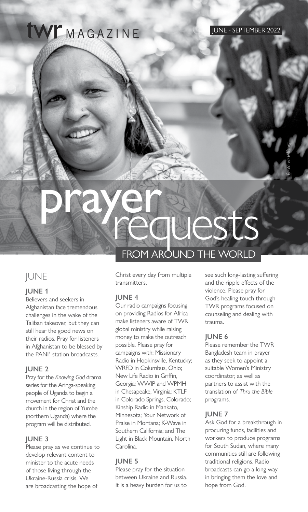## **IWE**MAGAZINE

*Photo via IMB.org*

# prayer FROM AROUND THE WORLD auests

## **IUNE**

#### **JUNE 1**

Believers and seekers in Afghanistan face tremendous challenges in the wake of the Taliban takeover, but they can still hear the good news on their radios. Pray for listeners in Afghanistan to be blessed by the PANI<sup>1</sup> station broadcasts.

#### **JUNE 2**

Pray for the *Knowing God* drama series for the Aringa-speaking people of Uganda to begin a movement for Christ and the church in the region of Yumbe (northern Uganda) where the program will be distributed.

#### **JUNE 3**

Please pray as we continue to develop relevant content to minister to the acute needs of those living through the Ukraine-Russia crisis. We are broadcasting the hope of

## Christ every day from multiple

## transmitters. **JUNE 4**

Our radio campaigns focusing on providing Radios for Africa make listeners aware of TWR global ministry while raising money to make the outreach possible. Please pray for campaigns with: Missionary Radio in Hopkinsville, Kentucky; WRFD in Columbus, Ohio; New Life Radio in Griffin, Georgia; WWIP and WPMH in Chesapeake, Virginia; KTLF in Colorado Springs, Colorado; Kinship Radio in Mankato, Minnesota; Your Network of Praise in Montana; K-Wave in Southern California; and The Light in Black Mountain, North Carolina.

#### **JUNE 5**

Please pray for the situation between Ukraine and Russia. It is a heavy burden for us to

see such long-lasting suffering and the ripple effects of the violence. Please pray for God's healing touch through TWR programs focused on counseling and dealing with trauma.

## **JUNE 6**

Please remember the TWR Bangladesh team in prayer as they seek to appoint a suitable Women's Ministry coordinator, as well as partners to assist with the translation of *Thru the Bible* programs.

## **JUNE 7**

Ask God for a breakthrough in procuring funds, facilities and workers to produce programs for South Sudan, where many communities still are following traditional religions. Radio broadcasts can go a long way in bringing them the love and hope from God.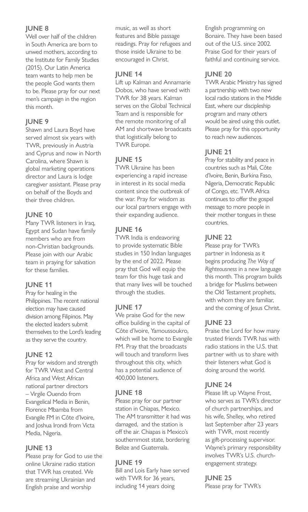## **JUNE 8**

Well over half of the children in South America are born to unwed mothers, according to the Institute for Family Studies (2015). Our Latin America team wants to help men be the people God wants them to be. Please pray for our next men's campaign in the region this month.

## **JUNE 9**

Shawn and Laura Boyd have served almost six years with TWR, previously in Austria and Cyprus and now in North Carolina, where Shawn is global marketing operations director and Laura is lodge caregiver assistant. Please pray on behalf of the Boyds and their three children.

## **JUNE 10**

Many TWR listeners in Iraq, Egypt and Sudan have family members who are from non-Christian backgrounds. Please join with our Arabic team in praying for salvation for these families.

#### **JUNE 11**

Pray for healing in the Philippines. The recent national election may have caused division among Filipinos. May the elected leaders submit themselves to the Lord's leading as they serve the country.

#### **JUNE 12**

Pray for wisdom and strength for TWR West and Central Africa and West African national partner directors – Virgile Ouendo from Evangelical Media in Benin, Florence Mbamba from Evangile FM in Côte d'Ivoire, and Joshua Irondi from Victa Media, Nigeria.

#### **JUNE 13**

Please pray for God to use the online Ukraine radio station that TWR has created. We are streaming Ukrainian and English praise and worship

music, as well as short features and Bible passage readings. Pray for refugees and those inside Ukraine to be encouraged in Christ.

## **JUNE 14**

Lift up Kalman and Annamarie Dobos, who have served with TWR for 38 years. Kalman serves on the Global Technical Team and is responsible for the remote monitoring of all AM and shortwave broadcasts that logistically belong to TWR Europe.

## **JUNE 15**

TWR Ukraine has been experiencing a rapid increase in interest in its social media content since the outbreak of the war. Pray for wisdom as our local partners engage with their expanding audience.

## **JUNE 16**

TWR India is endeavoring to provide systematic Bible studies in 150 Indian languages by the end of 2022. Please pray that God will equip the team for this huge task and that many lives will be touched through the studies.

## **JUNE 17**

We praise God for the new office building in the capital of Côte d'Ivoire, Yamoussoukro, which will be home to Evangile FM. Pray that the broadcasts will touch and transform lives throughout this city, which has a potential audience of 400,000 listeners.

## **JUNE 18**

Please pray for our partner station in Chiapas, Mexico. The AM transmitter it had was damaged, and the station is off the air. Chiapas is Mexico's southernmost state, bordering Belize and Guatemala.

## **JUNE 19**

Bill and Lois Early have served with TWR for 36 years, including 14 years doing

English programming on Bonaire. They have been based out of the U.S. since 2002. Praise God for their years of faithful and continuing service.

## **JUNE 20**

TWR Arabic Ministry has signed a partnership with two new local radio stations in the Middle East, where our discipleship program and many others would be aired using this outlet. Please pray for this opportunity to reach new audiences.

## **JUNE 21**

Pray for stability and peace in countries such as Mali, Côte d'Ivoire, Benin, Burkina Faso, Nigeria, Democratic Republic of Congo, etc. TWR Africa continues to offer the gospel message to more people in their mother tongues in these countries.

## **JUNE 22**

Please pray for TWR's partner in Indonesia as it begins producing *The Way of Righteousness* in a new language this month. This program builds a bridge for Muslims between the Old Testament prophets, with whom they are familiar, and the coming of Jesus Christ.

## **JUNE 23**

Praise the Lord for how many trusted friends TWR has with radio stations in the U.S. that partner with us to share with their listeners what God is doing around the world.

## **JUNE 24**

Please lift up Wayne Frost, who serves as TWR's director of church partnerships, and his wife, Shelley, who retired last September after 23 years with TWR, most recently as gift-processing supervisor. Wayne's primary responsibility involves TWR's U.S. churchengagement strategy.

## **JUNE 25**

Please pray for TWR's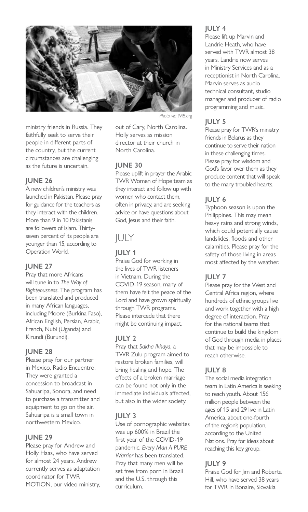

ministry friends in Russia. They faithfully seek to serve their people in different parts of the country, but the current circumstances are challenging as the future is uncertain.

#### **JUNE 26**

A new children's ministry was launched in Pakistan. Please pray for guidance for the teachers as they interact with the children. More than 9 in 10 Pakistanis are followers of Islam. Thirtyseven percent of its people are younger than 15, according to Operation World.

#### **JUNE 27**

Pray that more Africans will tune in to *The Way of Righteousness*. The program has been translated and produced in many African languages, including Moore (Burkina Faso), African English, Persian, Arabic, French, Nubi (Uganda) and Kirundi (Burundi).

#### **JUNE 28**

Please pray for our partner in Mexico, Radio Encuentro. They were granted a concession to broadcast in Sahuaripa, Sonora, and need to purchase a transmitter and equipment to go on the air. Sahuaripa is a small town in northwestern Mexico.

#### **JUNE 29**

Please pray for Andrew and Holly Haas, who have served for almost 24 years. Andrew currently serves as adaptation coordinator for TWR MOTION, our video ministry,

*Photo via IMB.org*

out of Cary, North Carolina. Holly serves as mission director at their church in North Carolina.

#### **JUNE 30**

Please uplift in prayer the Arabic TWR Women of Hope team as they interact and follow up with women who contact them, often in privacy, and are seeking advice or have questions about God, Jesus and their faith.

## JULY

**JULY 1**

Praise God for working in the lives of TWR listeners in Vietnam. During the COVID-19 season, many of them have felt the peace of the Lord and have grown spiritually through TWR programs. Please intercede that there might be continuing impact.

#### **JULY 2**

Pray that *Sakha Ikhaya*, a TWR Zulu program aimed to restore broken families, will bring healing and hope. The effects of a broken marriage can be found not only in the immediate individuals affected, but also in the wider society.

#### **JULY 3**

Use of pornographic websites was up 600% in Brazil the first year of the COVID-19 pandemic. *Every Man A PURE Warrior* has been translated. Pray that many men will be set free from porn in Brazil and the U.S. through this curriculum.

#### **JULY 4**

Please lift up Marvin and Landrie Heath, who have served with TWR almost 38 years. Landrie now serves in Ministry Services and as a receptionist in North Carolina. Marvin serves as audio technical consultant, studio manager and producer of radio programming and music.

#### **JULY 5**

Please pray for TWR's ministry friends in Belarus as they continue to serve their nation in these challenging times. Please pray for wisdom and God's favor over them as they produce content that will speak to the many troubled hearts.

#### **JULY 6**

Typhoon season is upon the Philippines. This may mean heavy rains and strong winds, which could potentially cause landslides, floods and other calamities. Please pray for the safety of those living in areas most affected by the weather.

#### **JULY 7**

Please pray for the West and Central Africa region, where hundreds of ethnic groups live and work together with a high degree of interaction. Pray for the national teams that continue to build the kingdom of God through media in places that may be impossible to reach otherwise.

#### **JULY 8**

The social media integration team in Latin America is seeking to reach youth. About 156 million people between the ages of 15 and 29 live in Latin America, about one-fourth of the region's population, according to the United Nations. Pray for ideas about reaching this key group.

#### **JULY 9**

Praise God for Jim and Roberta Hill, who have served 38 years for TWR in Bonaire, Slovakia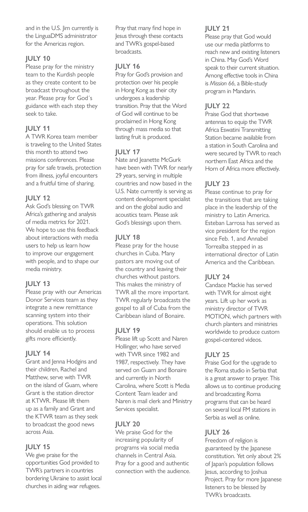and in the U.S. Jim currently is the LinguaDMS administrator for the Americas region.

#### **JULY 10**

Please pray for the ministry team to the Kurdish people as they create content to be broadcast throughout the year. Please pray for God´s guidance with each step they seek to take.

## **JULY 11**

A TWR Korea team member is traveling to the United States this month to attend two missions conferences. Please pray for safe travels, protection from illness, joyful encounters and a fruitful time of sharing.

#### **JULY 12**

Ask God's blessing on TWR Africa's gathering and analysis of media metrics for 2021. We hope to use this feedback about interactions with media users to help us learn how to improve our engagement with people, and to shape our media ministry.

## **JULY 13**

Please pray with our Americas Donor Services team as they integrate a new remittance scanning system into their operations. This solution should enable us to process gifts more efficiently.

## **JULY 14**

Grant and Jenna Hodgins and their children, Rachel and Matthew, serve with TWR on the island of Guam, where Grant is the station director at KTWR. Please lift them up as a family and Grant and the KTWR team as they seek to broadcast the good news across Asia.

## **JULY 15**

We give praise for the opportunities God provided to TWR's partners in countries bordering Ukraine to assist local churches in aiding war refugees.

Pray that many find hope in Jesus through these contacts and TWR's gospel-based broadcasts.

## **JULY 16**

Pray for God's provision and protection over his people in Hong Kong as their city undergoes a leadership transition. Pray that the Word of God will continue to be proclaimed in Hong Kong through mass media so that lasting fruit is produced.

## **JULY 17**

Nate and Jeanette McGurk have been with TWR for nearly 29 years, serving in multiple countries and now based in the U.S. Nate currently is serving as content development specialist and on the global audio and acoustics team. Please ask God's blessings upon them.

## **JULY 18**

Please pray for the house churches in Cuba. Many pastors are moving out of the country and leaving their churches without pastors. This makes the ministry of TWR all the more important. TWR regularly broadcasts the gospel to all of Cuba from the Caribbean island of Bonaire.

#### **JULY 19**

Please lift up Scott and Naren Hollinger, who have served with TWR since 1982 and 1987, respectively. They have served on Guam and Bonaire and currently in North Carolina, where Scott is Media Content Team leader and Naren is mail clerk and Ministry Services specialist.

## **JULY 20**

We praise God for the increasing popularity of programs via social media channels in Central Asia. Pray for a good and authentic connection with the audience.

## **JULY 21**

Please pray that God would use our media platforms to reach new and existing listeners in China. May God's Word speak to their current situation. Among effective tools in China is *Mission 66*, a Bible-study program in Mandarin.

## **JULY 22**

Praise God that shortwave antennas to equip the TWR Africa Eswatini Transmitting Station became available from a station in South Carolina and were secured by TWR to reach northern East Africa and the Horn of Africa more effectively.

## **JULY 23**

Please continue to pray for the transitions that are taking place in the leadership of the ministry to Latin America. Esteban Larrosa has served as vice president for the region since Feb. 1, and Annabel Torrealba stepped in as international director of Latin America and the Caribbean.

## **JULY 24**

Candace Mackie has served with TWR for almost eight years. Lift up her work as ministry director of TWR MOTION, which partners with church planters and ministries worldwide to produce custom gospel-centered videos.

## **JULY 25**

Praise God for the upgrade to the Roma studio in Serbia that is a great answer to prayer. This allows us to continue producing and broadcasting Roma programs that can be heard on several local FM stations in Serbia as well as online.

## **JULY 26**

Freedom of religion is guaranteed by the Japanese constitution. Yet only about 2% of Japan's population follows Jesus, according to Joshua Project. Pray for more Japanese listeners to be blessed by TWR's broadcasts.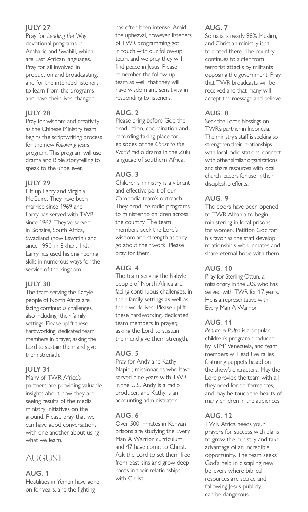## **JULY 27**

Pray for *Leading the Way* devotional programs in Amharic and Swahili, which are East African languages. Pray for all involved in production and broadcasting, and for the intended listeners to learn from the programs and have their lives changed.

## **JULY 28**

Pray for wisdom and creativity as the Chinese Ministry team begins the scriptwriting process for the new *Following Jesus* program. This program will use drama and Bible storytelling to speak to the unbeliever.

## **JULY 29**

Lift up Larry and Virginia McGuire. They have been married since 1969 and Larry has served with TWR since 1967. They've served in Bonaire, South Africa, Swaziland (now Eswatini) and, since 1990, in Elkhart, Ind. Larry has used his engineering skills in numerous ways for the service of the kingdom.

## **JULY 30**

The team serving the Kabyle people of North Africa are facing continuous challenges, also including their family settings. Please uplift these hardworking, dedicated team members in prayer, asking the Lord to sustain them and give them strength.

## **JULY 31**

Many of TWR Africa's partners are providing valuable insights about how they are seeing results of the media ministry initiatives on the ground. Please pray that we can have good conversations with one another about using what we learn.

## AUGUST

## **AUG. 1**

Hostilities in Yemen have gone on for years, and the fighting

has often been intense. Amid the upheaval, however, listeners of TWR programming got in touch with our follow-up team, and we pray they will find peace in Jesus. Please remember the follow-up team as well, that they will have wisdom and sensitivity in responding to listeners.

## **AUG. 2**

Please bring before God the production, coordination and recording taking place for episodes of the *Christ to the World* radio drama in the Zulu language of southern Africa.

## **AUG. 3**

Children's ministry is a vibrant and effective part of our Cambodia team's outreach. They produce radio programs to minister to children across the country. The team members seek the Lord's wisdom and strength as they go about their work. Please pray for them.

## **AUG. 4**

The team serving the Kabyle people of North Africa are facing continuous challenges, in their family settings as well as their work lives. Please uplift these hardworking, dedicated team members in prayer, asking the Lord to sustain them and give them strength.

## **AUG. 5**

Pray for Andy and Kathy Napier, missionaries who have served nine years with TWR in the U.S. Andy is a radio producer, and Kathy is an accounting administrator.

## **AUG. 6**

Over 500 inmates in Kenyan prisons are studying the Every Man A Warrior curriculum, and 47 have come to Christ. Ask the Lord to set them free from past sins and grow deep roots in their relationships with Christ.

## **AUG. 7**

Somalia is nearly 98% Muslim, and Christian ministry isn't tolerated there. The country continues to suffer from terrorist attacks by militants opposing the government. Pray that TWR broadcasts will be received and that many will accept the message and believe.

## **AUG. 8**

Seek the Lord's blessings on TWR's partner in Indonesia. The ministry's staff is seeking to strengthen their relationships with local radio stations, connect with other similar organizations and share resources with local church leaders for use in their discipleship efforts.

## **AUG. 9**

The doors have been opened to TWR Albania to begin ministering in local prisons for women. Petition God for his favor as the staff develop relationships with inmates and share eternal hope with them.

## **AUG. 10**

Pray for Sterling Ottun, a missionary in the U.S. who has served with TWR for 17 years. He is a representative with Every Man A Warrior.

## **AUG. 11**

*Pedrito el Pulpo* is a popular children's program produced by RTM2 Venezuela, and team members will lead five rallies featuring puppets based on the show's characters. May the Lord provide the team with all they need for performances, and may he touch the hearts of many children in the audiences.

## **AUG. 12**

TWR Africa needs your prayers for success with plans to grow the ministry and take advantage of an incredible opportunity. The team seeks God's help in discipling new believers where biblical resources are scarce and following Jesus publicly can be dangerous.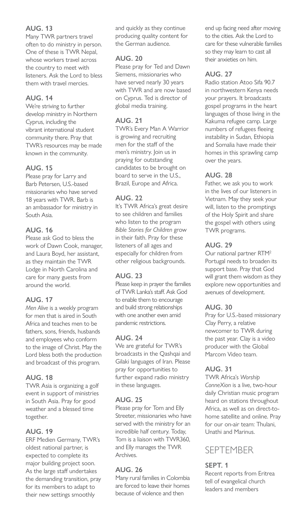## **AUG. 13**

Many TWR partners travel often to do ministry in person. One of these is TWR Nepal, whose workers travel across the country to meet with listeners. Ask the Lord to bless them with travel mercies.

## **AUG. 14**

We're striving to further develop ministry in Northern Cyprus, including the vibrant international student community there. Pray that TWR's resources may be made known in the community.

## **AUG. 15**

Please pray for Larry and Barb Petersen, U.S.-based missionaries who have served 18 years with TWR. Barb is an ambassador for ministry in South Asia.

## **AUG. 16**

Please ask God to bless the work of Dawn Cook, manager, and Laura Boyd, her assistant, as they maintain the TWR Lodge in North Carolina and care for many guests from around the world.

## **AUG. 17**

*Men Alive* is a weekly program for men that is aired in South Africa and teaches men to be fathers, sons, friends, husbands and employees who conform to the image of Christ. May the Lord bless both the production and broadcast of this program.

## **AUG. 18**

TWR Asia is organizing a golf event in support of ministries in South Asia. Pray for good weather and a blessed time together.

#### **AUG. 19**

ERF Medien Germany, TWR's oldest national partner, is expected to complete its major building project soon. As the large staff undertakes the demanding transition, pray for its members to adapt to their new settings smoothly

and quickly as they continue producing quality content for the German audience.

## **AUG. 20**

Please pray for Ted and Dawn Siemens, missionaries who have served nearly 30 years with TWR and are now based on Cyprus. Ted is director of global media training.

## **AUG. 21**

TWR's Every Man A Warrior is growing and recruiting men for the staff of the men's ministry. Join us in praying for outstanding candidates to be brought on board to serve in the U.S., Brazil, Europe and Africa.

## **AUG. 22**

It's TWR Africa's great desire to see children and families who listen to the program *Bible Stories for Children* grow in their faith. Pray for these listeners of all ages and especially for children from other religious backgrounds.

## **AUG. 23**

Please keep in prayer the families of TWR Lanka's staff. Ask God to enable them to encourage and build strong relationships with one another even amid pandemic restrictions.

#### **AUG. 24**

We are grateful for TWR's broadcasts in the Qashqai and Gilaki languages of Iran. Please pray for opportunities to further expand radio ministry in these languages.

#### **AUG. 25**

Please pray for Tom and Elly Streeter, missionaries who have served with the ministry for an incredible half century. Today, Tom is a liaison with TWR360, and Elly manages the TWR Archives.

#### **AUG. 26**

Many rural families in Colombia are forced to leave their homes because of violence and then

end up facing need after moving to the cities. Ask the Lord to care for these vulnerable families so they may learn to cast all their anxieties on him.

## **AUG. 27**

Radio station Atoo Sifa 90.7 in northwestern Kenya needs your prayers. It broadcasts gospel programs in the heart languages of those living in the Kakuma refugee camp. Large numbers of refugees fleeing instability in Sudan, Ethiopia and Somalia have made their homes in this sprawling camp over the years.

## **AUG. 28**

Father, we ask you to work in the lives of our listeners in Vietnam. May they seek your will, listen to the promptings of the Holy Spirit and share the gospel with others using TWR programs.

## **AUG. 29**

Our national partner RTM2 Portugal needs to broaden its support base. Pray that God will grant them wisdom as they explore new opportunities and avenues of development.

#### **AUG. 30**

Pray for U.S.-based missionary Clay Perry, a relative newcomer to TWR during the past year. Clay is a video producer with the Global Marcom Video team.

## **AUG. 31**

TWR Africa's *Worship ConneXion* is a live, two-hour daily Christian music program heard on stations throughout Africa, as well as on direct-tohome satellite and online. Pray for our on-air team: Thulani, Unathi and Marinus.

## SEPTEMBER

## **SEPT. 1**

Recent reports from Eritrea tell of evangelical church leaders and members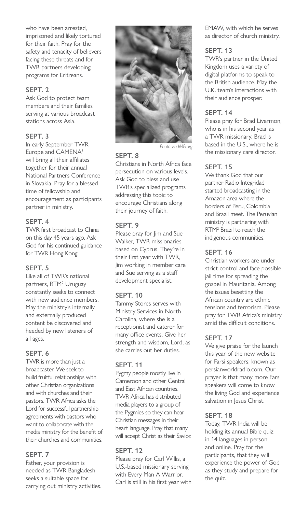who have been arrested, imprisoned and likely tortured for their faith. Pray for the safety and tenacity of believers facing these threats and for TWR partners developing programs for Eritreans.

#### **SEPT. 2**

Ask God to protect team members and their families serving at various broadcast stations across Asia.

## **SEPT. 3**

In early September TWR Europe and CAMENA3 will bring all their affiliates together for their annual National Partners Conference in Slovakia. Pray for a blessed time of fellowship and encouragement as participants partner in ministry.

#### **SEPT. 4**

TWR first broadcast to China on this day 45 years ago. Ask God for his continued guidance for TWR Hong Kong.

#### **SEPT. 5**

Like all of TWR's national partners, RTM<sup>2</sup> Uruguay constantly seeks to connect with new audience members. May the ministry's internally and externally produced content be discovered and heeded by new listeners of all ages.

#### **SEPT. 6**

TWR is more than just a broadcaster. We seek to build fruitful relationships with other Christian organizations and with churches and their pastors. TWR Africa asks the Lord for successful partnership agreements with pastors who want to collaborate with the media ministry for the benefit of their churches and communities.

#### **SEPT. 7**

Father, your provision is needed as TWR Bangladesh seeks a suitable space for carrying out ministry activities.



*Photo via IMB.org*

#### **SEPT. 8**

Christians in North Africa face persecution on various levels. Ask God to bless and use TWR's specialized programs addressing this topic to encourage Christians along their journey of faith.

#### **SEPT. 9**

Please pray for Jim and Sue Walker, TWR missionaries based on Cyprus. They're in their first year with TWR, Jim working in member care and Sue serving as a staff development specialist.

#### **SEPT. 10**

Tammy Stores serves with Ministry Services in North Carolina, where she is a receptionist and caterer for many office events. Give her strength and wisdom, Lord, as she carries out her duties.

#### **SEPT. 11**

Pygmy people mostly live in Cameroon and other Central and East African countries. TWR Africa has distributed media players to a group of the Pygmies so they can hear Christian messages in their heart language. Pray that many will accept Christ as their Savior.

#### **SEPT. 12**

Please pray for Carl Willis, a U.S.-based missionary serving with Every Man A Warrior. Carl is still in his first year with EMAW, with which he serves as director of church ministry.

#### **SEPT. 13**

TWR's partner in the United Kingdom uses a variety of digital platforms to speak to the British audience. May the U.K. team's interactions with their audience prosper.

#### **SEPT. 14**

Please pray for Brad Livermon, who is in his second year as a TWR missionary. Brad is based in the U.S., where he is the missionary care director.

## **SEPT. 15**

We thank God that our partner Radio Integridad started broadcasting in the Amazon area where the borders of Peru, Colombia and Brazil meet. The Peruvian ministry is partnering with RTM2 Brazil to reach the indigenous communities.

#### **SEPT. 16**

Christian workers are under strict control and face possible jail time for spreading the gospel in Mauritania. Among the issues besetting the African country are ethnic tensions and terrorism. Please pray for TWR Africa's ministry amid the difficult conditions.

## **SEPT. 17**

We give praise for the launch this year of the new website for Farsi speakers, known as persianworldradio.com. Our prayer is that many more Farsi speakers will come to know the living God and experience salvation in Jesus Christ.

#### **SEPT. 18**

Today, TWR India will be holding its annual Bible quiz in 14 languages in person and online. Pray for the participants, that they will experience the power of God as they study and prepare for the quiz.